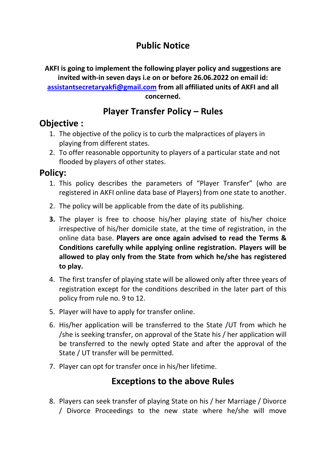# **Public Notice**

**AKFI is going to implement the following player policy and suggestions are invited with-in seven days i.e on or before 26.06.2022 on email id: [assistantsecretaryakfi@gmail.com](mailto:assistantsecretaryakfi@gmail.com) from all affiliated units of AKFI and all concerned.**

## **Player Transfer Policy – Rules**

#### **Objective :**

- 1. The objective of the policy is to curb the malpractices of players in playing from different states.
- 2. To offer reasonable opportunity to players of a particular state and not flooded by players of other states.

### **Policy:**

- 1. This policy describes the parameters of "Player Transfer" (who are registered in AKFI online data base of Players) from one state to another.
- 2. The policy will be applicable from the date of its publishing.
- **3.** The player is free to choose his/her playing state of his/her choice irrespective of his/her domicile state, at the time of registration, in the online data base. **Players are once again advised to read the Terms & Conditions carefully while applying online registration. Players will be allowed to play only from the State from which he/she has registered to play.**
- 4. The first transfer of playing state will be allowed only after three years of registration except for the conditions described in the later part of this policy from rule no. 9 to 12.
- 5. Player will have to apply for transfer online.
- 6. His/her application will be transferred to the State /UT from which he /she is seeking transfer, on approval of the State his / her application will be transferred to the newly opted State and after the approval of the State / UT transfer will be permitted.
- 7. Player can opt for transfer once in his/her lifetime.

# **Exceptions to the above Rules**

8. Players can seek transfer of playing State on his / her Marriage / Divorce / Divorce Proceedings to the new state where he/she will move